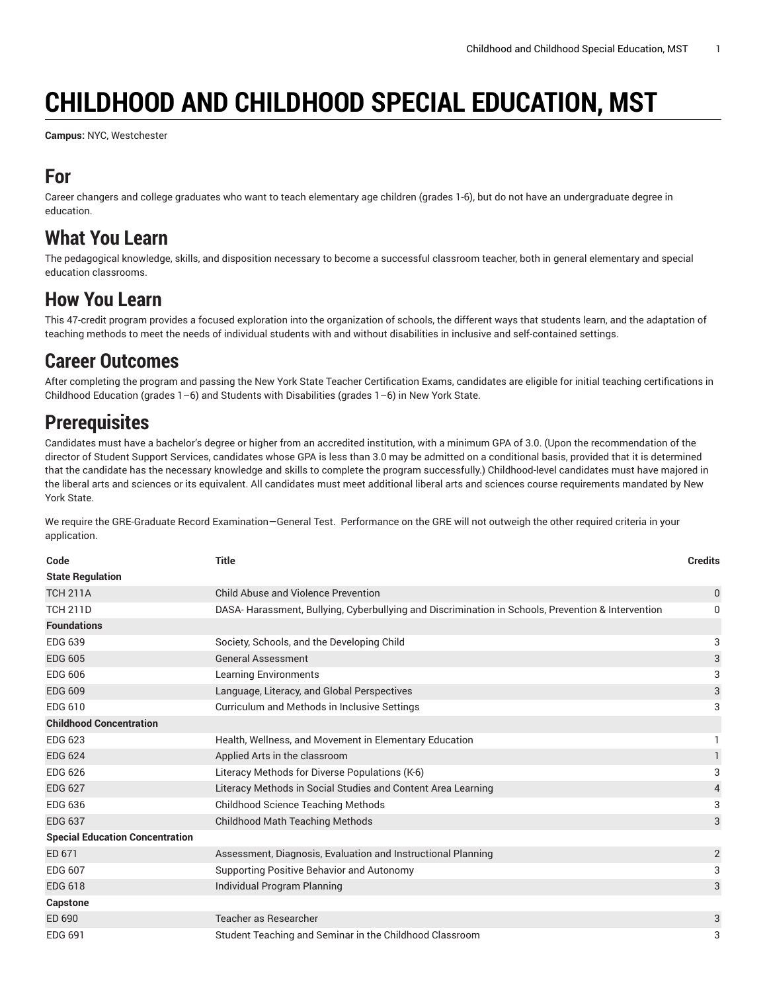# **CHILDHOOD AND CHILDHOOD SPECIAL EDUCATION, MST**

**Campus:** NYC, Westchester

### **For**

Career changers and college graduates who want to teach elementary age children (grades 1-6), but do not have an undergraduate degree in education.

#### **What You Learn**

The pedagogical knowledge, skills, and disposition necessary to become a successful classroom teacher, both in general elementary and special education classrooms.

## **How You Learn**

This 47-credit program provides a focused exploration into the organization of schools, the different ways that students learn, and the adaptation of teaching methods to meet the needs of individual students with and without disabilities in inclusive and self-contained settings.

#### **Career Outcomes**

After completing the program and passing the New York State Teacher Certification Exams, candidates are eligible for initial teaching certifications in Childhood Education (grades 1–6) and Students with Disabilities (grades 1–6) in New York State.

# **Prerequisites**

Candidates must have a bachelor's degree or higher from an accredited institution, with a minimum GPA of 3.0. (Upon the recommendation of the director of Student Support Services, candidates whose GPA is less than 3.0 may be admitted on a conditional basis, provided that it is determined that the candidate has the necessary knowledge and skills to complete the program successfully.) Childhood-level candidates must have majored in the liberal arts and sciences or its equivalent. All candidates must meet additional liberal arts and sciences course requirements mandated by New York State.

We require the GRE-Graduate Record Examination—General Test. Performance on the GRE will not outweigh the other required criteria in your application.

| Code                                   | <b>Title</b>                                                                                      | <b>Credits</b> |
|----------------------------------------|---------------------------------------------------------------------------------------------------|----------------|
| <b>State Regulation</b>                |                                                                                                   |                |
| <b>TCH 211A</b>                        | Child Abuse and Violence Prevention                                                               | $\bf{0}$       |
| <b>TCH 211D</b>                        | DASA-Harassment, Bullying, Cyberbullying and Discrimination in Schools, Prevention & Intervention | 0              |
| <b>Foundations</b>                     |                                                                                                   |                |
| <b>EDG 639</b>                         | Society, Schools, and the Developing Child                                                        | 3              |
| <b>EDG 605</b>                         | <b>General Assessment</b>                                                                         | 3              |
| <b>EDG 606</b>                         | <b>Learning Environments</b>                                                                      | 3              |
| <b>EDG 609</b>                         | Language, Literacy, and Global Perspectives                                                       | 3              |
| EDG 610                                | Curriculum and Methods in Inclusive Settings                                                      | 3              |
| <b>Childhood Concentration</b>         |                                                                                                   |                |
| <b>EDG 623</b>                         | Health, Wellness, and Movement in Elementary Education                                            | 1              |
| <b>EDG 624</b>                         | Applied Arts in the classroom                                                                     | $\mathbf{1}$   |
| <b>EDG 626</b>                         | Literacy Methods for Diverse Populations (K-6)                                                    | 3              |
| <b>EDG 627</b>                         | Literacy Methods in Social Studies and Content Area Learning                                      | 4              |
| <b>EDG 636</b>                         | <b>Childhood Science Teaching Methods</b>                                                         | 3              |
| <b>EDG 637</b>                         | <b>Childhood Math Teaching Methods</b>                                                            | 3              |
| <b>Special Education Concentration</b> |                                                                                                   |                |
| ED 671                                 | Assessment, Diagnosis, Evaluation and Instructional Planning                                      | 2              |
| <b>EDG 607</b>                         | Supporting Positive Behavior and Autonomy                                                         | 3              |
| <b>EDG 618</b>                         | Individual Program Planning                                                                       | 3              |
| Capstone                               |                                                                                                   |                |
| ED 690                                 | Teacher as Researcher                                                                             | 3              |
| EDG 691                                | Student Teaching and Seminar in the Childhood Classroom                                           | 3              |